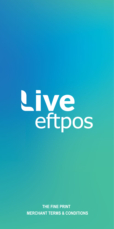

**THE FINE PRINT MERCHANT TERMS & CONDITIONS**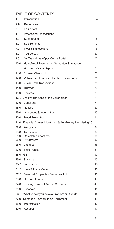# TABLE OF CONTENTS

| 1.0          | Introduction                                                | 04       |
|--------------|-------------------------------------------------------------|----------|
| 2.0          | Definitions                                                 | 05       |
| 3.0          | Equipment                                                   | 11       |
| 4.0          | <b>Processing Transactions</b>                              | 13       |
| 5.0          | Surcharging                                                 | 16       |
| 6.0          | Sale Refunds                                                | 17       |
| 7.0          | <b>Invalid Transactions</b>                                 | 18       |
| 8.0          | Your Account                                                | 20       |
| 9.0          | My Web - Live eftpos Online Portal                          | 23       |
| 10.0         | Hotel/Motel Reservation Guarantee & Advance                 |          |
|              | <b>Accommodation Deposit</b>                                | 23       |
| 11.0         | <b>Express Checkout</b>                                     | 25       |
| 12.0         | Vehicle and Equipment Rental Transactions                   | 25       |
| 13.0         | Quasi-Cash Transactions                                     | 26       |
| 14.0         | <b>Trustees</b>                                             | 27       |
| 15.0         | Records                                                     | 28       |
|              | 16.0 Creditworthiness of the Cardholder                     | 29       |
|              | 17.0 Variations                                             | 29       |
| 18.0         | <b>Notices</b>                                              | 29       |
| 19.0         | Warranties & Indemnities                                    | 29       |
| 20.0         | <b>Fraud Prevention</b>                                     | 31       |
|              | 21.0 Financial Crimes Monitoring & Anti-Money Laundering 33 |          |
| 22.0         | Assignment                                                  | 34       |
| 23.0         | Termination                                                 | 34       |
| 24.0         | Re-establishment fee                                        | 36       |
| 25.0         | Privacy Law                                                 | 37       |
| 26.0         | Changes<br><b>Third Parties</b>                             | 38       |
| 27.0<br>28.0 | <b>GST</b>                                                  | 39<br>39 |
| 29.0         |                                                             | 39       |
| 30.0         | Suspension<br>Jurisdiction                                  | 40       |
| 31.0         | Use of Trade Marks                                          | 40       |
| 32.0         | Personal Properties Securities Act                          | 40       |
| 33.0         | Holds on Funds                                              | 42       |
| 34.0         | Limiting Terminal Access Services                           | 43       |
| 35.0         | <b>Reserves</b>                                             | 45       |
| 36.0         | What to do if you have a Problem or Dispute                 | 46       |
| 37.0         | Damaged. Lost or Stolen Equipment                           | 46       |
| 38.0         | Interpretation                                              | 46       |
| 39.0         | Acquirer                                                    | 47       |
|              |                                                             |          |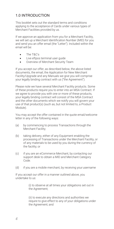# 1.0 INTRODUCTION

This booklet sets out the standard terms and conditions applying to the acceptance of Cards under various types of Merchant Facilities provided by us.

If we approve an application from you for a Merchant Facility, we will set up a Merchant Identification Number (MID) for you and send you an offer email (the "Letter"). Included within the email will be:

- The T&C's
- Live eftpos terminal user guide
- Overview of Merchant Security Team

If you accept our offer, as described below, the above listed documents, the email, the Application for New Merchant Facility/Upgrade and any Manuals we give you will comprise your legally binding contract with us ("the Agreement").

Please note we have several Merchant Facility products. Some of these products require you to enter into an MSA Contract. If we agree to provide you with one or more of these products, your legally binding contract will consist of the MSA Contract and the other documents which we notify you will govern your use of that product(s) (such as, but not limited to, a Product Module).

You may accept the offer contained in the quote email/welcome letter in any of the following ways:

- (a) by commencing to process Transactions through the Merchant Facility;
- (b) taking delivery, either of any Equipment enabling the processing of Transactions under the Merchant Facility, or of any materials to be used by you during the currency of the facility; or
- (c) if you are an eCommerce Merchant, by contacting our support desk to obtain a MID and Merchant Category Code.
- (d) if you are a mobile merchant, by receiving your username

If you accept our offer in a manner outlined above, you undertake to us:

> (i) to observe at all times your obligations set out in the Agreement;

(ii) to execute any directions and authorities we require to give effect to any of your obligations under the Agreement; and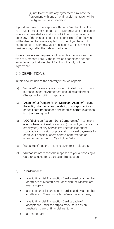(iii) not to enter into any agreement similar to the Agreement with any other financial institution while the Agreement is in operation.

If you do not wish to accept our offer of a Merchant Facility, you must immediately contact us to withdraw your application where upon we shall cancel your MID. Even if you have not done any of the things set out in sections 1(a), (b) or (c), you will be deemed to have accepted our offer if you have not contacted us to withdraw your application within seven (7) business days after the date of the Letter.

If we approve a subsequent application from you for another type of Merchant Facility, the terms and conditions set out in our letter for that Merchant Facility will apply not the Agreement.

# 2.0 DEFINITIONS

In this booklet unless the contrary intention appears:

- (a) "Account" means any account nominated by you for any purpose under the Agreement (including settlement, Chargeback or billing purposes);
- (b) "Acquirer" or "Acquirer's" or "Merchant Acquirer" means the entity which enables the ability to accept credit card or debit card transactions and handles communications into the issuing bank
- (c) "ADC" (being an Account Data Compromise) means any event whereby Live eftpos or you (or any of your officers or employees), or any Service Provider facilitating the storage, transmission or processing of card payments for or on your behalf, suspect or have confirmation of unauthorised access to Cardholder Data;
- (d) "Agreement" has the meaning given to it in clause 1;
- (e) "Authorisation" means the response to you authorising a Card to be used for a particular Transaction;
- (f) "Card" means:
	- a valid financial Transaction Card issued by a member or affiliate of MasterCard® on which the MasterCard marks appear;
	- a valid financial Transaction Card issued by a member or affiliate of Visa on which the Visa marks appear;
	- a valid financial Transaction Card capable of acceptance under the eftpos mark issued by an Australian bank or financial institution;
	- a Charge Card;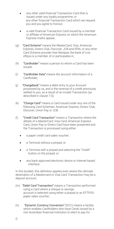- any other valid financial Transaction Card that is issued under any loyalty programme; or any other financial Transaction Card which we request you and you agree to honour;
- a valid financial Transaction Card issued by a member or affiliate of American Express on which the American Express marks appear;
- (g) "Card Scheme" means the MasterCard, Visa, American Express, Diners Club, Discover, JCB and EPAL or any other Card Scheme provider that Westpac the bank of Live eftpos is a member of or participates in;
- (h) "Cardholder" means a person to whom a Card has been issued;
- (i) "Cardholder Data" means the account information of a Cardholder;
- (j) "Chargeback" means a debit entry to your Account processed by us, and is the reversal of a credit previously settled to you, as a result of an invalid Transaction (as described in clause 7.0);
- (k) "Charge Card" means a Card issued under any one of the following Card Schemes: American Express, Diners Club, Discover, Union Pay or JCB.
- (l) "Credit Card Transaction" means a Transaction where the details of a MasterCard, Visa Card, American Express Card, Union Pay or Diners Card have been presented and the Transaction is processed using either;
	- a paper credit card sales voucher;
	- a Terminal without a pinpad; or
	- a Terminal with a pinpad and selecting the "Credit" button on the pinpad; or
	- any bank approved electronic device or internet based interface.

In this booklet, this definition applies even where the ultimate destination of a Mastercard or Visa Card Transaction may be a deposit account;

- (m) "Debit Card Transaction" means a Transaction performed using a Card where a cheque or savings account is selected using either a pinpad or an EFTPOS paper sales voucher;
- (n) "Dynamic Currency Conversion" (DCC) means a facility which enables Cardholders who have Cards issued by a non-Australian financial institution to elect to pay for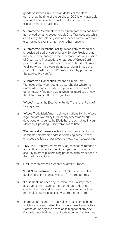goods or services in Australian dollars or their local currency at the time of the purchase. DCC is only available in a number of selected non-Australian currencies and on eligible Merchant Facilities;

- (o) "eCommerce Merchant" means a Merchant who has been authorised by us to accept Credit Card Transactions whilst conducting the sale of goods or services with a Cardholder electronically over the internet or other network;
- (p) "eCommerce Merchant Facility" means any method and/ or device utilised by you, or by any Service Provider that may be used to engage in the acceptance or transmission of Credit Card Transactions or storage of Credit Card payment details. This definition includes but is not limited to all software, hardware, databases, digital image and physical records used and/or maintained by you and/or the Service Provider(s);
- (q) "eCommerce Transaction" means a Credit Card Transaction between you and a Cardholder where the Cardholder sends Card data to you over the internet or other network (including via a Website), rgardless of how the data is transmitted from you to us;
- (r) "eftpos" means the Electronic Funds Transfer at Point of Sale system;
- (s) "eftpos Trade Mark" means all registrations for the eftpos logo that are owned by EPAL or any other trademark developed or acquired by EPAL that are contained in your Merchant Operating Guide from time to time;
- (t) "Electronically" means electronic communication to your nominated electronic address or making particulars of changes available at our website www.liveeftpos.com.au;
- (u) "EMV" (or Europay/Mastercard/Visa) means the method of authenticating credit or debit card payments using a security microchip, containing personal data embedded in the credit or debit card;
- (v) "EPAL" means eftpos Payments Australia Limited;
- (w) "EPAL Scheme Rules" means the EPAL Scheme Rules published by EPAL on its website from time to time;
- (x) "Equipment" includes any Terminal, manual imprinter, sales vouchers, power cords, car adapters, docking cradles, the user and technical manuals and any other materials or items supplied by us from time to time;
- (y) "Floor Limit" means the total value of sales or cash out which you are authorised from time to time to make to a Cardholder on any one occasion in respect of any one Card without obtaining an authorisation number from us.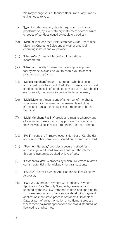We may change your authorised floor limit at any time by giving notice to you;

- $(z)$  "Law" includes any law, statute, regulation, ordinance, proclamation, by-law, statutory instrument or order, Rules or codes of conduct issued by regulatory bodies;\
- (aa) "Manual" includes the Quick Reference Guide, User Guide, Merchant Operating Guide and any other practical operating instructions we provide;
- (bb) "MasterCard" means MasterCard International Incorporated;
- (cc) "Merchant Facility" means the Live eftpos approved facility made available to you to enable you to accept payments using Cards;
- (dd) "Mobile Merchant" means a Merchant who has been authorised by us to accept Credit Card Transactions whilst conducting the sale of goods or services with a Cardholder electronically over a mobile device, tablet or internet;
- (ee) "Multi Merchant" means one of a number of merchants who have individual merchant agreements with Live eftpos and transact their business through one shared Terminal;
- (ff) "Multi Merchant Facility" provides a means whereby one of a number of merchants may process Transactions for their individual businesses through one shared Terminal;
- (gg) "PAN" means the Primary Account Number or Cardholder account number commonly located on the front of a Card;
- (hh) "Payment Gateway" provides a secure method for authorising Credit Card Transactions over the internet through a system accredited by Live eftpos;
- (ii) "Payment Review" A process by which Live eftpos reviews certain potentially high-risk payment transactions;
- (jj) "PA-QSA" means Payment Application Qualified Security Assessor;
- (kk) "PCI PA-DSS" means Payment Card Industry Payment Application Data Security Standards, developed and updated by the PCISSC from time to time, and applying to software vendors and other vendors developing payment applications that store, process or transmit Cardholder Data, as part of an authorisation or settlement process, where these payment applications are sold, distributed, or licensed to third parties;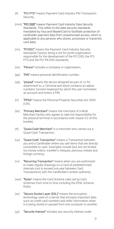- (ll) "PCI PTS" means Payment Card Industry PIN Transaction Security;
- (mm) "PCI DSS" means Payment Card Industry Data Security Standards. This refers to the data security standards mandated by Visa and MasterCard to facilitate protection of cardholder payment data from unauthorised access, which is applicable to any persons who stores, processes or transmits card data;
- (nn) "PCISSC" means the Payment Card Industry Security Standards Council, being a not-for-profit organisation responsible for the development of the PCI DSS, the PCI PTS and the PCI PA-DSS standards;
- (oo) "Person" includes a company or organisation;
- (pp) "PIN" means personal identification number;
- (qq) "pinpad" means the device designed as part of, or for attachment to, a Terminal and which contains an alpha/ numberic function keyboard by which the user nominates an account and enters a PIN;
- (rr) "PPSA" means the Personal Property Securities Act 2009 (Cth);
- (ss) "Primary Merchant" means the merchant of a Multi Merchant facility who agrees to take full responsibility for the physical terminal in accordance with clause 3.0 of this booklet;
- (tt) "Quasi-Cash Merchant" is a merchant who carries out a Quasi-Cash Transaction;
- (uu) "Quasi-Cash Transaction" means a Transaction between you and a Cardholder where you sell items that are directly convertible to cash. Examples include (but are not limited to) money orders, traveller's cheques, precious metals and foreign currency;
- (vv) "Recurring Transaction" means when you are authorised to make regular drawings on a Card at predetermined intervals (not to exceed one year between Card Transactions) with the Cardholder's written authority;
- (ww) "Rules" means the Card Scheme rules set by Card Schemes from time to time including the EPAL Scheme Rules;
- (xx) "Secure Socket Layer (SSL)" means the encryption technology used on a server that encrypts important data such as credit card numbers and other information when it is being stored or passed from one computer to another;
- (yy) "Security Interest" includes any security interest under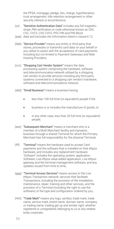the PPSA, mortgage, pledge, Iien, charge, hypothecation, trust arrangement, title retention arrangement or other security interest or encumbrance;

- (zz) "Sensitive Authentication Data" includes any full magnetic stripe, PIN verification or code otherwise known as CAV, CVC, CVC2, CVV, CVV2, PVV, PIN and PIN Block
- (aaa) data and excludes the information listed in clause 4.12;
- (bbb) "Service Provider" means any entity or third party that stores, processes or transmits card data on your behalf or you utilise to assist with the acceptance of card payments including but not limited to Payment Gateways and Web Hosting Providers;
- (ccc) "Shopping Cart Vendor System" means the data processing system comprising the hardware, software and telecommunication network utilised by a shopping cart vendor to provide services including any third party systems connected to a shopping cart vendor's hardware, software and telecommunications network;
- (ddd) "Small Business" means a business having:
	- less than 100 full time (or equivalent) people if the
	- business is or includes the manufacture of goods, or
	- in any other case, less than 20 full time (or equivalent) people;
- (eee) "Subsequent Merchant" means a merchant who is a member of a Multi Merchant facility and transacts business through a shared Terminal for which the Primary Merchant has full responsibility for the physical Terminal;
- (fff) "Terminal" means the hardware used to accept Card payments and the software that is installed on that eftpos hardware, and includes any replacement hardware. "Sofware" includes the operating system, application Software, Live eftpos value added application, Live eftpos gateway and the terminal management software, and any updates issued from time to time;
- (ggg) "Terminal Access Services" means access to the Live eftpos Transaction network; services that facilitate Transactions, including the provision of the installation, maintenance, repair, training and other services, and the provision of a Terminal (including the right to use the software) of the type and configuration ordered by you;
- (hhh) "Trade Mark" means any logo, symbol, trade mark, trade name, service mark, brand name, domain name, company or trading name, trading get up and similar right, whether registered or unregistered, belonging to us or any related body corporate;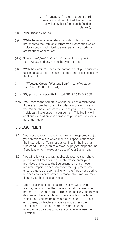a. "Transaction" includes a Debit Card Transaction and Credit Card Transaction as well as Sale Refunds as defined in clause 6;

- (iii) "Visa" means Visa Inc.;
- (iii) **"Website"** means an interface or portal published by a merchant to facilitate an eCommerce Transaction which includes but is not limited to a web page, web portal or smart phone application;
- (kkk) "Live eftpos", "we", "us" or "our" means Live eftpos ABN 150 373 069 and any related body corporate.
- (lll) "Web Application" means the software that your business utilises to advertise the sale of goods and/or services over the Internet;
- (mmm) "Westpac Group", "Westpac Bank" means Westpac Group ABN 33 007 457 141;
- (nnn) "Wpay" means Wpay Pty Limited ABN 86 646 547 908
- (ooo) "You" means the person to whom the letter is addressed. If there is more than one, it includes any one or more of you. Where there is more than one of you, each of you is individually liable under the Agreement. This liability will continue even where one or more of you is not liable or is no longer liable.

### <span id="page-9-0"></span>3.0 EQUIPMENT

- 3.1 You must at your expense, prepare (and keep prepared) at your premises a site which meets our specifications for the installation of Terminals as outlined in the Merchant Operating Guide (such as a power supply or telephone line if applicable) for the exclusive use of your Equipment.
- 3.2 You will allow (and where applicable reserve the right to permit) at all times our representatives to enter your premises and access the Equipment to install, move, maintain, repair, replace or remove the Equipment or to ensure that you are complying with the Agreement, during business hours or at any other reasonable time. We may disrupt your business activities.
- 3.3 Upon initial installation of a Terminal we will provide training (including via the phone, internet or some other method) on the use of the Terminal to the individual(s) you designate. These people must be available at the time of installation. You are responsible, at your cost, to train all employees, contractors or agents who access the Terminal. You must not permit any untrained or unauthorised persons to operate or otherwise use the Terminal.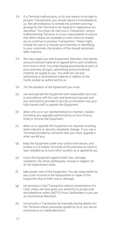- 3.4 If a Terminal malfunctions, or for any reason is not able to process Transactions, you should report it immediately to us. We will endeavour to remedy the problem and may arrange for the Terminal to be repaired or replaced at our discretion. You must not carry out a Transaction using a malfunctioning Terminal. It is your responsibility to ensure that other means are available at short notice to enable you to continue to process Transactions. These might include the use of a manual card imprinter or identifying to your customers the location of the closest automatic teller machine.
- 3.5 We may supply you with Equipment, Manuals, Card decals and promotional material on agreed terms and conditions from time to time. You shall display prominently at each of your premises all signs, advertising and promotional material we supply to you. You shall not use any advertising or promotional material in relation to the Cards, except as authorised by us.
- 3.6 For the duration of the Agreement you must:
- (a) use and operate the Equipment with reasonable care only in accordance with the user and technical manuals and any instructions provided to you by us and allow only your fully trained staff to operate the Equipment;
- (b) allow only us or our representatives to maintain, replace (including any upgrades performed by us from time to time) or remove the Equipment;
- (c) allow us to upgrade the Equipment as required including when industry or security standards change. If you use a Terminal provided by someone else you must upgrade it when we tell you;
- (d) keep the Equipment under your control and secure, and (unless it is a mobile Terminal) at the premises at which it was installed (or at such other location as is agreed by us);
- (e) insure the Equipment against theft, loss, damage, vandalism, fire, flood, earthquake, misuse or neglect, for its full replacement value;
- (f) take proper care of the Equipment. You are responsible for any costs incurred in the replacement or repair of the Equipment due to theft, loss or damage;
- (g) not process a Card Transaction without presentation of a Card, unless we have given you authority to accept mail and telephone orders (MOTO) from Cardholders or you are an eCommerce Merchant;
- (h) not process a Transaction by manually keying details into the Terminal unless previously agreed by us or you are an eCommerce or mobile Merchant;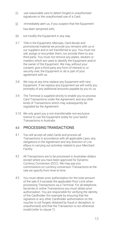- (i) use reasonable care to detect forged or unauthorised signatures or the unauthorised use of a Card;
- (j) immediately alert us, if you suspect that the Equipment has been tampered with;
- (k) not modify the Equipment in any way.
- 3.7 Title in the Equipment, Manuals, Card decals and promotional material we provide you remains with us or our suppliers and is not transferred to you. You must not sell, assign or encumber them, nor provide them to any third party. You must not remove any plates, stickers or markers which are used to identify the Equipment and/or the owner of the Equipment. We may, without your consent, give a third party any form of interest in, or security over, the Equipment or all or part of your agreement with us.
- 3.8 We may at any time replace any Equipment with new Equipment. If we replace any Equipment we will notify you promptly of any additional amounts payable by you to us.
- 3.9 The Terminal is supplied strictly to enable you to process Card Transactions under the Agreement, and any other kinds of Transactions which may subsequently be regulated by the Agreement.
- 3.10 We only grant you a non-transferrable non-exclusive licence to use the Equipment solely for your lawful Transactions in Australia.

### <span id="page-11-0"></span>4.0 PROCESSINGTRANSACTIONS

- 4.1 You will accept all valid Cards and process all Transactions in accordance with all applicable Laws, any obligations in the Agreement and any direction of Live eftpos in carrying out activities related to your Merchant Facility.
- 4.2 All Transactions are to be processed in Australian dollars except where you have been approved for Dynamic Currency Conversion (DCC). We may pay you commissions on currency conversion Transactions at the rate we specify from time to time.
- 4.3 You must obtain prior authorisation for the total amount of the sale if it exceeds the applicable Floor Limit when processing Transactions via a Terminal. For all telephone, facsimile or online Transactions you must obtain prior authorisation. You are responsible for verifying the identity of the Cardholder (for example by ensuring that the signature or any other Cardholder authorisation on the voucher is not forged, obtained by fraud or deception, or unauthorised) and that the Transaction is not otherwise invalid (refer to clause 7).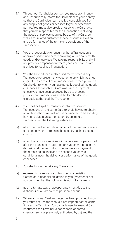- 4.4 Throughout Cardholder contact, you must prominently and unequivocally inform the Cardholder of your identity so that the Cardholder can readily distinguish you from any supplier of goods or services to you or other third parties. You must also provide notice to the Cardholder that you are responsible for the Transaction, including the goods or services acquired by use of the Card, as well as for related customer service, dispute resolution and performance of the terms and conditions of the **Transaction**
- 4.5 You are responsible for ensuring that a Transaction is approved or declined before providing a Cardholder with goods and/or services. We take no responsibility and will not provide compensation where goods or services are provided for declined Transactions.
- 4.6 You shall not, either directly or indirectly, process any Transaction or present any voucher to us which was not originated as a result of a Transaction between you and a Cardholder to whom you have actually supplied the goods or services for which the Card was used in payment unless you have been approved by us to process prepayment Transactions and the Cardholder has expressly authorised the Transaction.
- 4.7 You shall not split a Transaction into two or more Transactions on the same Card to avoid having to obtain an authorisation. You will not be considered to be avoiding having to obtain an authorisation by splitting a Transaction in the following instances:
- (a) when the Cardholder bills a portion of the Transaction to a card and pays the remaining balance by cash or cheque only; or
- (b) when the goods or services will be delivered or performed after the Transaction date, and one voucher represents a deposit, and the second voucher represents payment of the remaining balance and the second voucher is conditional upon the delivery or performance of the goods or services.
- 4.8 You shall not undertake any Transaction:
- (a) representing a refinance or transfer of an existing Cardholder's financial obligation to you (whether or not you consider that the obligation is not collectable); or
- (b) as an alternate way of accepting payment due to the dishonour of a Cardholder's personal cheque.
- 4.9 Where a manual Card imprinter has been provided to you, you must not use the manual Card imprinter at the same time as the Terminal. You can only use the manual Card imprinter if the Terminal is not capable of normal operation (unless previously authorised by us) and the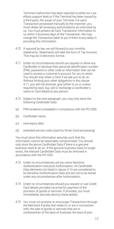Terminal malfunction has been reported to either our Live eftpos support desk or if the Terminal has been issued by a third party, the issuer of your Terminal. For each Transaction processed manually by the imprinter, you must obtain all necessary authorisations as instructed by us. You must present all Card Transaction information to us within 3 business days of the Transaction. We may charge the Transaction back to you if there is any delay in providing this information.

- 4.10 If required by law, we will forward to you monthly statements. Statements will take the form of Tax Invoices. This may be in electronic format.
- 4.11 Under no circumstances should you request or allow any Cardholder to disclose their personal identification number (PIN), password or other code or information that can be used to access a customer's account, for you to retain. You should only retain a Card if we ask you to do so. Without limiting your other obligations in this clause 4.11, you will not disclose, give (other to us or unless required by law), buy, sell or exchange a Cardholder's name or Card details to any person.
- 4.12 Subject to the next paragraph, you may only store the following Cardholder Data:
- (a) PAN rendered unreadable in compliance with the PCI DSS;
- (b) Cardholder name;
- (c) card expiry date;
- (d) extended service code (used for Smart Card processing).

You must store this information securely such that the information cannot be reasonably compromised. You should only store the above Cardholder Data if there is a genuine business need to do so. If the genuine business need no longer exists, the relevant Cardholder Data must be removed in accordance with the PCI DSS.

- 4.13 Under no circumstances will you store Sensitive Authentication Data post Authorisation. All Cardholder Data elements not listed in clause 4.12 are considered to be Sensitive Authentication Data and are not to be stored under any circumstances after Authorisation.
- 4.14 Under no circumstances should you request or use Credit Card details provided via email for payment of the provision of goods or services. If provided, you must immediately securely destroy these details.
- 4.15 You must not process or encourage Transactions through the Merchant Facility that relate to, or are in connection with, the sale of goods or services that are in contravention of the laws of Australia, the laws of your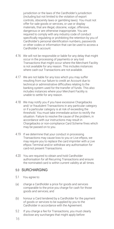jurisdiction or the laws of the Cardholder's jurisdiction (including but not limited to the violation of export controls, obscenity laws or gambling laws). You must not offer for sale goods or services, or use or display materials, that are illegal, obscene, vulgar, offensive, dangerous or are otherwise inappropriate. You are required to comply with any industry code of conduct specifically regulating or prohibiting the retention by you of Cardholder's personal identification numbers, passwords or other codes or information that can be used to access a Cardholder's account.

- 4.16 We will not be responsible or liable for any delay that might occur in the processing of payments or any lost Transactions that might occur where the Merchant Facility is not available for any reason. This includes instances where cash-out Transactions are not available.
- 4.17 We are not liable for any loss which you may suffer resulting from our failure to credit an Account due to technical or administrative difficulties relating to the banking system used for the transfer of funds. This also includes instances where your Merchant Facility is unable to settle for any reason.
- 4.18 We may notify you if you have excessive Chargebacks and/ or fraudulent Transactions in any particular category or if a particular category is at risk of exceeding the threshold. You must take immediate action to rectify the situation. Failure to resolve the cause of the problem, in accordance with our instructions may result in Chargebacks or non-compliance Card Scheme fines which may be passed on to you.
- 4.19 If we determine that your conduct in processing Transactions may cause loss to you or Live eftpos, we may require you to replace the card imprinter with a Live eftpos Terminal and/or withdraw any authorisation for card-not present Transactions.
- 4.20 You are required to obtain and hold Cardholder authorisation for all Recurring Transactions and ensure the nominated card is within current validity at all times.

#### <span id="page-14-0"></span>5.0 SURCHARGING

- 5.1 You agree to:
- (a) charge a Cardholder a price for goods and services comparable to the price you charge for cash for those goods and services; and
- (b) honour a Card tendered by a Cardholder for the payment of goods or services to be supplied by you to the Cardholder in accordance with the Agreement.
- 5.2 If you charge a fee for Transactions, you must clearly disclose any surcharges that might apply before
- *16*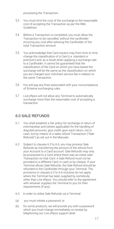processing the Transaction.

- 5.3 You must limit the cost of the surcharge to the reasonable cost of accepting the Transaction as per the RBA Guidelines.
- 5.4 Before a Transaction is completed, you must allow the Transaction to be cancelled, without the cardholder incurring any cost after advising the Cardholder of the total Transaction amount.
- 5.5 You acknowledge that Card issuers may from time to time change the classification of a Card (i.e. standard or premium) and, as a result when applying a surcharge rate to a Cardholder, it cannot be guaranteed that the classification of the Card on which you have based the surcharge will be the same as the classification on which you are charged your merchant service fee in relation to the same Transaction.
- 5.6 You will pay any fines associated with your noncompliance of Scheme surcharging rules.
- 5.7 Live eftpos will not allow any Terminal to automatically surcharge more than the reasonable cost of accepting a transaction

## <span id="page-15-0"></span>6.0 SALE REFUNDS

- 6.1 You shall establish a fair policy for exchange or return of merchandise and (where applicable) for the handling of disputed amounts, give credit upon each return, not in cash, but by means of a sales refund Transaction ("Sale Refunds") as set out in the Manuals.
- 6.2 Subject to clauses 6.3 to 6.6, you may process Sale Refunds by transferring the amount of the refund from your Account to a Card account. Sale Refunds may only be processed to a Card where there was an initial valid Transaction on that Card. A Sale Refund must not be provided to a different Card, in cash or by cheque. If your Terminal allows Sale Refunds, the Sale Refund should be refunded to the Cardholder through your Terminal. The provisions in clauses 6.3 to 6.6 inclusive do not apply where the Terminal has been supplied by somebody other than Live eftpos. You should refer to the agreement with whoever supplies the Terminal to you for their requirements (if any).
- 6.3 In order to utilise Sale Refunds via a Terminal:
- (a) you must initiate a password; or
- (b) for some products, we will provide you with a password which you must change immediately on receipt by telephoning our Live eftpos support desk.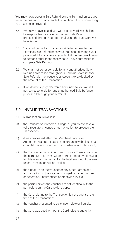You may not process a Sale Refund using a Terminal unless you enter the password prior to each Transaction if this is something you have been provided.

- 6.4 Where we have issued you with a password, we shall not be responsible for any unauthorised Sale Refund processed through your Terminal using the password we have issued.
- 6.5 You shall control and be responsible for access to the Terminal Sale Refund password. You should change your password if for any reason you think it has become known to persons other than those who you have authorised to complete Sale Refunds.
- 6.6 We shall not be responsible for any unauthorised Sale Refunds processed through your Terminal, even if those Sale Refunds may cause your Account to be debited by the amount of the Transaction.
- 6.7 If we do not supply electronic Terminals to you we will not be responsible for any unauthorised Sale Refunds processed through your Terminal.

## <span id="page-16-0"></span>7.0 INVALID TRANSACTIONS

- 7.1 A Transaction is invalid if:
- (a) the Transaction it records is illegal or you do not have a valid regulatory licence or authorisation to process the Transaction;
- (b) it was processed after your Merchant Facility or Agreement was terminated in accordance with clause 23 or whilst it was suspended in accordance with clause 28;
- (c) the Transaction is split into two or more Transactions on the same Card or over two or more cards to avoid having to obtain an authorisation for the total amount of the sale (each Transaction will be invalid);
- (d) the signature on the voucher or any other Cardholder authorisation on the voucher is forged, obtained by fraud or deception, unauthorised or otherwise invalid;
- (e) the particulars on the voucher are not identical with the particulars on the Cardholder's copy;
- (f) the Card relating to the Transaction is not current at the time of the Transaction;
- (g) the voucher presented to us is incomplete or illegible;
- (h) the Card was used without the Cardholder's authority;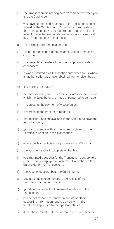- (i) the Transaction did not originate from an act between you and the Cardholder;
- (j) you have not retained your copy of the receipt or voucher signed by the Cardholder for 18 months from the date of the Transaction or you do not produce to us the tally roll receipt or voucher within five business days of a request by us for production of that receipt;
- (k) it is a Credit Card Transactionand:
- (i) it is not for the supply of goods or service to a genuine customer;
- (ii) it represents a transfer of funds, not supply of goods or services;
- (l) it was submitted as a Transaction authorised by us, where an authorisation was never obtained from or given by us;
- (m) it is a Sales Refund and:
- (i) no corresponding sales Transaction exists for the Cardon which the Sales Refund is made or purported to be made;
- (ii) it represents the payment of wages/salary;
- (iii) it represents the transfer of funds; or
- (iv) insufficient funds are available in the Account to cover the refund amount;
- (n) you fail to comply with all messages displayed on the Terminal in relation to the Transaction;
- (o) where the Transaction is not processed by a Terminal:
- (i) the voucher used is incomplete or illegible;
- (ii) you imprinted a voucher for the Transaction contrary to a prior message displayed on a Terminal in relation to the Cardholder or the Transaction; or
- (iii) the voucher does not bear the Card imprint;
- (p) you are unable to demonstrate the validity of the Transaction to our satisfaction;
- (q) you do not observe the Agreement in relation to the Transaction; or
- (r) you do not respond to voucher requests or other supporting information required by us within the timeframes specified by the applicable Rules.
- 7.2 A telephone, mobile, Internet or mail order Transaction is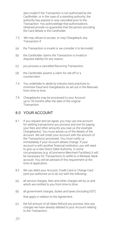also invalid if the Transaction is not authorised by the Cardholder, or in the case of a standing authority, the authority has expired or was cancelled prior to the Transaction. You acknowledge that authorisations obtained provide no guarantee that the person providing the Card details is the Cardholder.

- 7.3 We may refuse to accept, or may Chargeback, any Transaction if:
- (a) the Transaction is invalid or we consider it to be invalid;
- (b) the Cardholder claims the Transaction is invalid or disputes liability for any reason;
- (c) you process a cancelled Recurring Transaction;
- (d) the Cardholder asserts a claim for set-off or a counterclaim.
- 7.4 You undertake to abide by industry best practices to minimise fraud and chargebacks as set out in the Manuals from time to time.
- 7.5 Chargebacks may be processed to your Account up to 18 months after the date of the original Transaction.

## <span id="page-18-0"></span>8.0 YOUR ACCOUNT

- 8.1 If you request and we agree, you may use one account for settling transactions you process and one for paying your fees and other amounts you owe us (for example Chargebacks). You must advise us of the details of the Account. We will credit your Account with the amount of the Transactions processed. You must notify us immediately if your Account details change. If your account is with another financial institution, you will need to give us a new Direct Debit Authority. In some circumstances (e.g. eCommerce Merchant Facilities) it will be necessary for Transactions to settle to a Westpac Bank account. You will be advised of this requirement at the time of application.
- 8.2 We can debit your Account, Credit Card or Charge Card (and you authorise us to do so) with the following:
- (a) all service charges, fees and other charges set by us and which are notified to you from time to time;
- (b) all government charges, duties and taxes (including GST) that apply in relation to the Agreement;
- (c) the full amount of all Sales Refund you process, less any charges we have already debited to your Account relating to the Transaction;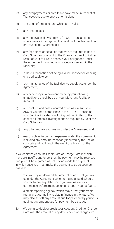- (d) any overpayments or credits we have made in respect of Transactions due to errors or omissions;
- (e) the value of Transactions which are invalid;
- (f) any Chargeback;
- (g) any moneys paid by us to you for Card Transactions where we are investigating the validity of the Transaction or a suspected Chargeback;
- (h) any fees, fines or penalties that we are required to pay to Card Schemes pursuant to the Rules as a direct or indirect result of your failure to observe your obligations under the Agreement including any procedures set out in the Manuals;
- (i) a Card Transaction not being a valid Transaction or being charged back to us;
- (j) our maintenance of the facilities we supply you under the Agreement;
- (k) any deficiency in a payment made by you following an audit or a check by us of your Merchant Facility or Account;
- (l) all penalties and costs incurred by us as a result of an ADC or your non-compliance to the PCI DSS (including your Service Providers) including but not limited to the cost of all forensic investigations as required by us or the Card Schemes;
- (m) any other money you owe us under the Agreement; and
- (n) reasonable enforcement expenses under the Agreement, including any amount reasonably incurred by the use of our staff and facilities, in the event of a breach of the Agreement.

If we debit the Account, Credit Card or Charge Card in which there are insufficient funds, then the payment may be reversed and you will be regarded as not having made the payment in which case you must make the payment to us as soon as possible.

8.3 You will pay on demand the amount of any debt you owe us under the Agreement which remains unpaid. Should you fail to pay any debt which you owe us we may commence enforcement action and report your default to

a credit-reporting agency, which may affect your credit rating and your ability to obtain finance in the future. We may also set-off any amount due for payment by you to us against any amount due for payment by us to you.

8.4 We can also debit or credit your Account, Credit or Charge Card with the amount of any deficiencies or charges we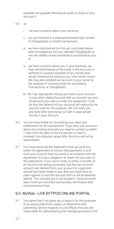establish are payable following an audit or check of your Account if:

#### 8.5 a)

- i. we have concerns about your solvency;
- ii. you are involved in a disproportionately high number of Chargebacks or invalid transactions;
- iii. we have commenced but not yet concluded reason able investigations into any claimed Chargebacks or into the validity of any transactions processed by you; or
- iv. we have concerns about you or your business, we may withhold release of the funds in the Account, or withhold or suspend payment of any money that would otherwise be owing to you, until further notice. We may also establish an Account in your name for the purpose of retaining funds for processing Transactions or Chargebacks.
- b) We may appropriate money you hold in your Account, or any other related Account with us, towards any and all amounts you owe us under the Agreement. If we do this, the balance of your Account will reduce by the amount used for this purpose. We will notify you promptly after exercising our right to appropriate money in your Account.
- 8.6 You are responsible for reconciling your sales and settlements for all Transactions. If you have any concerns about any missing amounts you need to contact us within 7 days from the date of the transaction to have it reviewed. Any disputes raised after this time will not be reprocessed.
- 8.7 You must reconcile the statements that we send you under the Agreement to ensure that payments to and from your Account have occurred in accordance with the Agreement. It is your obligation to check the accuracy of the statements. If you fail to notify us within 3 months of an incorrect fee being processed, and thus an incorrect amount was debited from your account or a payment should have been made to you, then you shall have no claim against us and the account with us will be deemed settled. This includes but is not limited to Terminal rental fees, minimum merchant service fees, terminationfees and transaction fees.

## <span id="page-20-0"></span>9.0 MyWeb - LIVE EFTPOS ONLINE PORTAL

9.1 You agree that if we grant you a logon/s for the purposes of accessing electronic copies of statements and submitting service requests to Live eftpos, that you are responsible for administering and managing access to the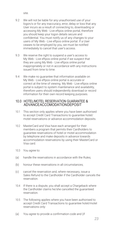site.

- 9.2 We will not be liable for any unauthorised use of your logon/s or for any inaccuracy, error, delay or loss that any User incurs as a result of connecting to, downloading or accessing My Web - Live eftpos online portal, therefore you should keep your logon details secure and confidential. You must notify us of any changes to your users of My Web - Live eftpos online portal. If a User ceases to be employed by you, we must be notified immediately to cancel that user's access.
- 9.3 We reserve the right to suspend a user's access to My Web - Live eftpos online portal if we suspect that they are using My Web - Live eftpos online portal inappropriately or not in accordance with any instructions issued from time to time.
- 9.4 We make no guarantee that information available on My Web - Live eftpos online portal is accurate or correct at the time of viewing. My Web - Live eftpos online portal is subject to system maintenance and availability, therefore users should independently download or record information for their own record keeping purposes.

#### 10.0 HOTEL/MOTEL RESERVATION GUARANTEE & ADVANCEACCOMODATIONDEPOSIT

- 10.1 This section only applies where you have been authorised to accept Credit Card Transactions to guarantee hotel/ motel reservations or advance accommodation deposits.
- 10.2 MasterCard and Visa have each arranged for their members a program that permits their Cardholders to guarantee reservations of hotel or motel accommodation by telephone and make deposits in advance towards accommodation reservations by using their MasterCard or Visa card.
- 10.3 You agree to:
- (a) handle the reservations in accordance with the Rules;
- (b) honour these reservations in all circumstances;
- (c) cancel the reservation and, where necessary, issue a Sales Refund to the Cardholder if the Cardholder cancels the reservation.
- 10.4 If there is a dispute, you shall accept a Chargeback where the Cardholder claims he/she cancelled the guaranteed reservation.
- 10.5 The following applies where you have been authorised to accept Credit Card Transactions to guarantee hotel/motel reservations only:
- (a) You agree to provide a confirmation code and (if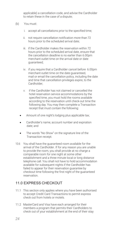applicable) a cancellation code, and advise the Cardholder to retain these in the case of a dispute;

- (b) You must:
	- i. accept all cancellations prior to the specified time;
	- ii. not require cancellation notification more than 72 hours prior to the scheduled arrival date;
	- iii. if the Cardholder makes the reservation within 72 hours prior to the scheduled arrival date, ensure that the cancellation deadline is no earlier than 6.00pm merchant outlet time on the arrival date or date guaranteed;
	- iv. if you require that a Cardholder cancel before 6.00pm merchant outlet time on the date guaranteed, mail or email the cancellation policy, including the date and time that cancellation privileges expire, to the Cardholder;
	- v. if the Cardholder has not claimed or cancelled the hotel reservation service accommodations by the specified time, you must hold the rooms available according to the reservation until check-out time the following day. You may then complete a Transaction receipt that must contain the following:
	- Amount of one night's lodging plus applicable tax;
	- Cardholder's name, account number and expiration date; and
	- The words "No Show" on the signature line of the Transaction receipt.
- 10.6 You shall have the guaranteed room available for the arrival of the Cardholder. If for any reason you are unable to provide the room, you shall provide at no charge a comparable room for one night at some other establishment and a three minute local or long distance telephone call. You shall not have to hold accommodation available for subsequent nights if the Cardholder has failed to appear for their reservation guarantee by checkout time following the first night of the guaranteed reservation.

### <span id="page-22-0"></span>11.0 EXPRESS CHECKOUT

- 11.1 This section only applies where you have been authorised to accept Credit Card Transactions to permit express check out from hotels or motels.
- 11.2 MasterCard and Visa have each arranged for their members a program that permits their Cardholders to check out of your establishment at the end of their stay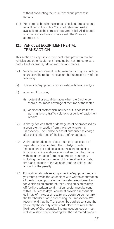without conducting the usual "checkout" process in person.

11.3 You agree to handle the express checkout Transactions as outlined in the Rules. You shall retain and make available to us the itemised hotel/motel bill. All disputes shall be resolved in accordance with the Rules as appropriate.

### 12.0 VEHICLE&EQUIPTMENT RENTAL **TRANSACTION**

This section only applies to merchants that provide rental for vehicles and other equipment including but not limited to cars, boats, tractors, trucks, ride-on mowers and planes.

- 12.1 Vehicle and equipment rental merchants may not include charges in the rental Transaction that represent any of the following:
- (a) the vehicle/equipment insurance deductible amount; or
- (b) an amount to cover;
	- (i) potential or actual damages when the Cardholder waives insurance coverage at the time of the rental;
	- (ii) additional costs which includes but is not limited to, parking tickets, traffic violations or vehicle/ equipment repairs.
- 12.2 A charge for loss, theft or damage must be processed as a separate transaction from the underlying rental Transaction. The Cardholder must authorise the charge after being informed of the loss, theft or damage.
- 12.3 A charge for additional costs must be processed as a separate Transaction from the underlying rental Transaction. For additional costs relating to parking tickets or traffic violations you must support the charge with documentation from the appropriate authority including the license number of the rental vehicle, date, time, and location of the violation, statute violated, and amount of the penalty.
- 12.4 For additional costs relating to vehicle/equipment repairs you must provide the Cardholder with written confirmation of the damage upon return of the vehicle/equipment, or for vehicles/equipment returned using an express drop off facility a written confirmation receipt must be sent within 5 business days. You must provide a reasonable estimate of the cost of repairs and obtain agreement from the Cardholder prior to processing the Transaction. We recommend that the Transaction be card present and that you verify the identity of the cardholder to minimise the likelihood of Chargebacks. The transaction receipt must include a statement indicating that the estimated amount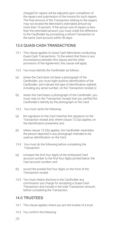charged for repairs will be adjusted upon completion of the repairs and submission of the invoice for such repairs. The final amount of the Transaction relating to the repairs may not exceed the Merchant's estimated amount by more than 15 percent. If the actual cost of repairs is less than the estimated amount, you must credit the difference to the Cardholder by processing a refund Transaction to the same Card account within 30 days.

## <span id="page-24-0"></span>13.0 QUASI-CASH TRANSACTIONS

- 13.1 This clause applies to Quasi-Cash Merchants conducting Quasi-Cash Transactions. To the extent that there is any inconsistency between this clause and the other provisions of the Agreement, this clause will apply.
- 13.2 You must identify the Cardholder as follows:
- (a) where the Card does not bear a photograph of the Cardholder, you must sight positive identification of the Cardholder, and indicate the type of identification sighted, including any serial number, on the Transaction receipt;or
- (b) where the Card bears a photograph of the Cardholder, you must note on the Transaction receipt that you verified the Cardholder's identity by the photograph on the Card.
- 13.3 You must verify the following:
- (a) the signature on the Card matches the signature on the Transaction receipt and, where clause 13.2(a) applies, on the identification presented; and
- (b) where clause 13.2(b) applies, the Cardholder resembles the person depicted in any photograph intended to be used as identification on the Card.
- 13.4 You must do the following before completing the Transaction:
- (a) compare the first four digits of the embossed Card account number to the first four digits printed below the Card account number; and
- (b) record the printed first four digits on the front of the Transaction receipt.
- 13.5 You must clearly disclose to the Cardholder any commission you charge for accepting a Quasi-Cash Transaction and include in the total Transaction amount, before completing the Transaction.

# <span id="page-24-1"></span>14.0 TRUSTEES

- 14.1 This clause applies where you are the trustee of a trust.
- 14.2 You confirm the following: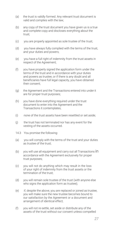- (a) the trust is validly formed. Any relevant trust document is valid and complies with the law;
- (b) any copy of the trust document you have given us is a true and complete copy and discloses everything about the trust;
- (c) you are properly appointed as sole trustee of the trust;
- (d) you have always fully complied with the terms of the trust, and your duties and powers;
- (e) you have a full right of indemnity from the trust assets in respect of the Agreement;
- (f) you have properly signed the application form under the terms of the trust and in accordance with your duties and powers as trustee, or if there is any doubt and all beneficiaries have full legal capacity, you have obtained their consent;
- (g) the Agreement and the Transactions entered into under it are for proper trust purposes;
- (h) you have done everything required under the trust document to enter into the Agreement and the Transactions it contemplates;
- (i) none of the trust assets have been resettled or set aside;
- (j) the trust has not terminated nor has any event for the vesting of the assets occurred.
- 14.3 You promise the following:
- (a) you will comply with the terms of the trust and your duties as trustee of the trust;
- (b) you will use all equipment and carry out all Transactions in accordance with the Agreement exclusively for proper trust purposes;
- (c) you will not do anything which may result in the loss of your right of indemnity from the trust assets or the termination of the trust;
- (d) you will remain sole trustee of the trust (with anyone else who signs the application form as trustee);
- (e) if, despite the above, you are replaced or joined as trustee, you will make sure the new trustee becomes bound to our satisfaction by the Agreement or a document and arrangement of identical effect;
- (f) you will not re-settle, set aside or distribute any of the assets of the trust without our consent unless compelled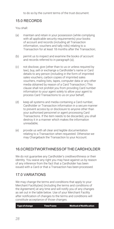# <span id="page-26-0"></span>15.0 RECORDS

You shall:

- (a) maintain and retain in your possession (while complying with all applicable security requirements) your books of account and records (including all Transaction information, vouchers and tally rolls) relating to a Transaction for at least 18 months after the Transaction;
- (b) permit us to inspect and examine the books of account and records referred to in paragraph (a);
- (c) not disclose, give (other than to us or unless required by law), buy, sell or exchange a Cardholder's name or Card details to any person (including in the form of imprinted sales vouchers, carbon copies of imprinted sales vouchers, mailing lists, tapes, computer data or any other media obtained by reason of a Card Transaction.) This clause shall not prohibit you from providing Card number information to your agent solely to allow your agent to process Card Transactions to us on your behalf;
- (d) keep all systems and media containing a Card number, Cardholder or Transaction information in a secure manner to prevent access by or disclosure to anyone other than your authorised personnel or agent processing Card Transactions. If the item needs to be discarded, you shall destroy it in a manner which makes the information unreadable;
- (e) provide us with all clear and legible documentation relating to a Transaction when requested. Otherwise we may Chargeback the Transaction to your Account.

# <span id="page-26-1"></span>16.0CREDITWORTHINESSOF THE CARDHOLDER

We do not guarantee any Cardholder's creditworthiness or their identity. You waive any right you may have against us by reason of any inference from the fact that a Cardholder has been issued with a Card or that a Transaction has been processed.

# <span id="page-26-2"></span>17.0 VARIATIONS

We may change the terms and conditions that apply to your Merchant Facility(ies) (including the terms and conditions of the Agreement) at any time and will notify you of any changes as set out in the table below. Use of your Merchant Facility after notification of changes to the terms and conditions will constitute acceptance of those changes.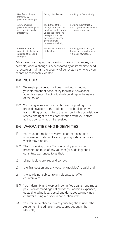| New fee or charge<br>(other than a<br>government charge).                           | 30 days in advance.                                                                                                                                                                   | In writing or Electronically.                                                       |
|-------------------------------------------------------------------------------------|---------------------------------------------------------------------------------------------------------------------------------------------------------------------------------------|-------------------------------------------------------------------------------------|
| A new or varied<br>government charge that<br>directly or indirectly<br>affects you. | In advance of the<br>change, or as soon as<br>practicable afterwards,<br>unless the change has<br>been publicised by a<br>government agency,<br>government or<br>representative body. | In writing, Electronically<br>or through an advertisement<br>in a major newspaper.  |
| Any other term or<br>condition (including a<br>variation of fees and<br>charges).   | In advance of the date<br>of the change.                                                                                                                                              | In writing, Electronically or<br>through and advertisement<br>in a major newspaper. |

Advance notice may not be given in some circumstances, for example, when a change is necessitated by an immediate need to restore or maintain the security of our systems or where you cannot be reasonably located.

### <span id="page-27-0"></span>18.0 NOTICES

- 18.1 We might provide you notices in writing, including in your statement of account, by facsimile, newspaper advertisement or Electronically depending on the nature of the notice.
- 18.2 You can give us a notice by phone or by posting it in a prepaid envelope to the address in this booklet or by transmitting by facsimile to the number in this booklet. We reserve the right to seek confirmation from you before acting upon any facsimile received.

### 19.0 WARRANTIES AND INDEMNITIES

- 19.1 You must not make any warranty or representation whatsoever in relation to any of your goods or services which may bind us.
- 19.2 The processing of any Transaction by you, or your presentation to us of any voucher (or audit log) shall constitute warranties to us that:
- a) all particulars are true and correct;
- b) the Transaction and any voucher (audit log) is valid; and
- c) the sale is not subject to any dispute, set off or counterclaim.
- 19.3 You indemnify and keep us indemnified against, and must pay us on demand against all losses, liabilities, expenses, costs (including legal costs) and damages we may incur or suffer arising out of or in connection with:
- (a) your failure to observe any of your obligations under the Agreement including any procedures set out in the Manuals;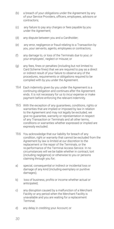- (b) a breach of your obligations under the Agreement by any of your Service Providers, officers, employees, advisors or contractors;
- (c) any failure to pay any charges or fees payable by you under the Agreement;
- (d) any dispute between you and a Cardholder;
- (e) any error, negligence or fraud relating to a Transaction by you, your servants, agents, employees or contractors;
- (f) any damage to, or loss of the Terminals due to your, or your employees', neglect or misuse; or
- (g) any fees, fines or penalties (including but not limited to Card Scheme fines) that we are required to pay as a direct or indirect result of your failure to observe any of the procedures, requirements or obligations required to be complied with by you under the Agreement.
- 19.4 Each indemnity given by you under the Agreement is a continuing obligation and continues after the Agreement ends. It is not necessary for us to incur expense or make payment before enforcing the relevant indemnity.
- 19.5 With the exception of any guarantees, conditions, rights or warranties that are implied or imposed by law in relation to the Agreement and may not legally be excluded, we give no guarantee, warranty or representation in respect of any Transaction or Terminals and all other terms, conditions or warranties whether expressed or implied are expressly excluded.
- 19.6 You acknowledge that our liability for breach of any condition, right or warranty that cannot be excluded from the Agreement by law is limited at our discretion to the replacement or the repair of the Terminals, or the re-performance of the Terminal Access Service. In no circumstances will we be liable whether in contract, tort (including negligence) or otherwise to you or persons claiming through you for;
- a) special, consequential or indirect or incidental loss or damage of any kind (including exemplary or punitive damages);
- b) loss of business, profits or income whether actual or anticipated;
- c) any disruption caused by a malfunction of a Merchant Facility or any period when the Merchant Facility is unavailable and you are waiting for a replacement Terminal;
- d) any delay in crediting your Account; or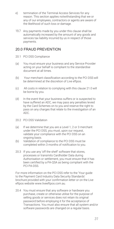- e) termination of the Terminal Access Services for any reason. This section applies notwithstanding that we or any of our employees, contractors or agents are aware of the likelihood of such loss or damage.
- 19.7 Any payments made by you under this clause shall be automatically increased by the amount of any goods and services tax liability incurred by us in respect of those payments.

## <span id="page-29-0"></span>20.0 FRAUD PREVENTION

- 20.1 PCI DSS Compliance
- (a) You must ensure your business and any Service Provider acting on your behalf is compliant to the standardise document at all times.
- (b) Your merchant classification according to the PCI DSS will be determined at the discretion of Live eftpos.
- (c) All costs in relation to complying with this clause 21.0 will be borne by you.
- (d) In the event that your business suffers or is suspected to have suffered an ADC, we may pass any penalties levied by the Card Schemes on to you and reserve the right to pass on any charges that relate to the investigation of an ADC.
- 20.2 PCI DSS Validation
- (a) If we determine that you are a Level 1, 2 or 3 merchant under the PCI DSS, you must, upon our request, validate your compliance with the PCI DSS on an ongoing basis.
- (b) Validation of compliance to the PCI DSS must be completed within 3 months of notification to you.
- 20.3 If you use any 'off the shelf' software that stores, processes or transmits Cardholder Data during Authorisation or settlement, you must ensure that it has been certified by a PA-QSA as being compliant with the PCI PA-DSS.

For more information on the PCI DSS refer to the 'Your guide to the Payment Card Industry Data Security Standards' brochure provided with your confirmation letter or on the Live eftpos website [www.liveeftpos.com.au.](http://www.liveeftpos.com.au/)

20.4 You must ensure that any software or hardware you purchase, create or otherwise utilise for the purpose of selling goods or services does not retain its original password before employing it for the acceptance of Transactions. You must also ensure that all system and/or software passwords are changed on a regular basis.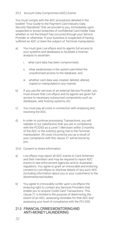#### 20.5 Account Data Compromise (ADC) Events

You must comply with the ADC procedures detailed in the booklet "Your Guide to the Payment Card Industry Data Security Standards" that we provide to you, immediately upon suspected or known breaches of confidential Card holder Data whether or not the breach has occurred through your Service Provider or otherwise. If your business is suspected of having suffered an ADC or been the subject of Terminal manipulation:

- a) You must give Live eftpos and its agents full access to your systems and databases to facilitate a forensic analysis to ascertain:
	- i. what card data has been compromised;
	- ii. what weaknesses in the system permitted the unauthorised access to the database; and
	- iii. whether card data was created, deleted, altered, copied or manipulated in any manner.
- b) If you use the services of an external Service Provider, you must ensure that Live eftpos and its agents are given full access to necessary outsourced components such as databases, web hosting systems, etc.
- c) You must pay all costs in connection with analysing and resolving the ADC.
- d) In order to continue processing Transactions, you will validate to our satisfaction that you are in compliance with the PCIDSS as a Level 1 Merchant within 3 months of the ADC or the event(s) giving rise to theTerminal manipulation. All costs incurred by you as a result of your compliance with this clause 21 will be borne by you.
- 20.6 Consent to share information:
- a) Live eftpos may report all ADC events to Card Schemes and their members and may be required to report ADC events to law enforcement agencies and/or Australian regulators. You agree to grant an irrevocable and enduring consent to Live eftpos to disclose details of any such ADC (including information about you or your customers) to the aforementioned bodies.
- b) You agree to irrevocably confer upon Live eftpos the enduring right to contact any Services Providers that enable you to acquire Credit Card Transactions. This clause 21 is limited to the purpose of determining the extent of an ADC, assessing remedies for that ADC and assessing your level of compliance with the PCI DSS.

#### 21.0 FINANCIALCRIMESMONITORINGAND ANTI-MONEYLAUNDERING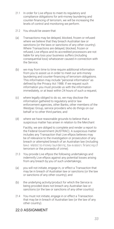- 21.1 In order for Live eftpos to meet its regulatory and compliance obligations for anti-money laundering and counter-financing of terrorism, we will be increasing the levels of control and monitoring we perform.
- 21.2 You should be aware that:
- (a) Transactions may be delayed, blocked, frozen or refused where we believe that they breach Australian law or sanctions (or the laws or sanctions of any other country). Where Transactions are delayed, blocked, frozen or refused, Live eftpos and its accredited processors are not liable for any loss your business suffers (including consequential loss) whatsoever caused in connection with the Service;
- (b) we may from time to time require additional information from you to assist us in order to meet our anti-money laundering and counter-financing of terrorism obligations. This information may include "personal information" as defined by the Privacy Act 1988. If we request such information you must provide us with the information immediately, or at least within 24 hours of such a request;
- (c) where legally obliged to do so, we may disclose the information gathered to regulatory and/or law enforcement agencies, other Banks, other members of the Westpac Group, service providers who do things on our behalf or to other third parties; and
- (d) where we have reasonable grounds to believe that a suspicious matter has arisen in relation to the Merchant

Facility, we are obliged to complete and render a report to the Federal Government (AUSTRAC). A suspicious matter includes any Transaction that Live eftpos believes may be of relevance to the investigation or prosecution of any breach or attempted breach of an Australian law (including laws related to money laundering, tax evasion, financing of terrorism or the proceeds of crime).

- 21.3 You provide Live eftpos the following undertakings and indemnify Live eftpos against any potential losses arising from any breach by you of such undertakings;
- (a) you will not initiate, engage in, or effect a Transaction that may be in breach of Australian law or sanctions (or the law or sanctions of any other country); and
- (b) the underlying activity/product for which the Service is being provided does not breach any Australian law or sanctions (or the law or sanctions of any other country).
- 21.4 You must not initiate, engage in or effect a Transaction that may be in breach of Australian law (or the law of any other country).

# <span id="page-31-0"></span>22.0 ASSIGNMENT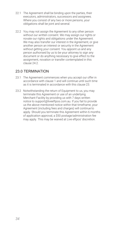- 22.1 The Agreement shall be binding upon the parties, their executors, administrators, successors and assignees. Where you consist of any two or more persons, your obligations shall be joint and several.
- 22.2 You may not assign the Agreement to any other person without our written consent. We may assign our rights or novate our rights and obligations under the Agreement. We may also transfer our interest in the Agreement, or give another person an interest or security in the Agreement without getting your consent. You appoint us and any person authorised by us to be your attorney to sign any document or do anything necessary to give effect to the assignment, novation or transfer contemplated in this clause 24.2.

# <span id="page-32-0"></span>23.0 TERMINATION

- 23.1 The Agreement commences when you accept our offer in accordance with clause 1 and will continue until such time as it is terminated in accordance with this clause 23.
- 23.2 Notwithstanding the return of Equipment to us, you may terminate this Agreement or use of an underlying Merchant Facility by providing us with 7 days written notice to support@liveeftpos.com.au. If you fail to provide us the above mentioned notice within that timeframe, your Agreement (including fees and charges) will continue to apply. Should you terminate this Agreement within 6 months of application approval, a \$50 postage/administration fee may apply. This may be waived at Live eftpos' discretion.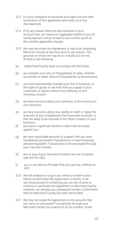- 23.3 It is your obligation to reconcile your bank account after termination of this agreement and notify us of any discrepancies.
- 23.4 If for any reason there are discrepancies in your Account then our maximum aggregate liability to you for reimbursement will be limited to one months worth of the monthly applicable charges.
- 23.5 We may terminate the Agreement or use of an underlying Merchant Facility at any time and for any reason. The grounds on which we may do so include, but are not limited to, the following:
- (a) a Merchant Facility does not comply with the Rules;
- (b) we consider your ratio of Chargebacks to sales, whether by number or dollar value of Chargebacks, to be excessive;
- (c) you have substantially changed your line of business, or the types of goods or services that you supply to your customers or clients without first notifying us and receiving consent;
- (d) we have concerns about your solvency, or the solvency of your business;
- (e) we have concerns about your ability to meet or repay the amounts of any Chargebacks that have been received, or that are likely to be received in the future conduct of your business;
- (f) you have a significant adverse credit event recorded against you;
- (g) we have reasonable grounds to suspect that you have fraudulently processed Transactions, or have knowingly allowed fraudulent Transactions to be processed through your merchant facility;
- (h) you or any of your Services Providers are not compliant with the PCI DSS:
- (i) you or any Service Provider that you use has suffered an ADC.
- 23.6 We will endeavour to give you verbal or written notice before we terminate the Agreement or facility. If we are unsuccessful in contacting you, we can choose to continue to terminate the Agreement or Merchant Facility. However, we will give you subsequent written confirmation that the Merchant Facility has been terminated.
- 23.7 We may terminate the Agreement on the grounds that you have not processed Transactions through your Merchant Facility for a period of six (6) months. Under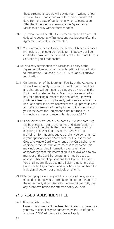these circumstances we will advise you, in writing, of our intention to terminate and will allow you a period of 14 days from the date of our letter in which to contact us. After that time, we may terminate the Agreement or Merchant Facility without further notice.

- 23.8 Termination will be effective immediately and we are not obliged to accept any Transactions you process after the Agreement or facility is terminated.
- 23.9 You warrant to cease to use the Terminal Access Services immediately if this Agreement is terminated, we will be entitled to terminate the availability of the Terminal Access Services to you if that occurs.
- 23.10 For clarity, termination of a Merchant Facility or the Agreement does not affect any obligations incurred prior to termination. Clauses 6, 7, 8, 15, 19, 23 and 24 survive termination.
- 23.11 On termination of the Merchant Facility or the Agreement you will immediately return all relevant Equipment. Fees and charges will continue to be incurred by you until the Equipment is returned to us. Merchants are required to pay for a tracking number at the post office. However postage is free by using the reply paid service. You autho rise us to enter the premises where the Equipment is kept and take possession of the Equipment without notice to you in the event the Equipment is not returned to us immediately in accordance with this clause 23.11.
- 23.12 A combined terminated merchant file is a list containing the business name and the names and identification of principals of merchants that have been terminated by<br>acquiring financial institutions. You consent to us providing information about you and any persons named in your application for a Merchant Facility to Westpac Group, to MasterCard, Visa or any other Card Scheme for addition to the file if the Agreement is terminated (this may include sending information overseas). You acknowledge that this information will be available to any member of the Card Scheme(s) and may be used to assess subsequent applications for Merchant Facilities. You shall indemnify us against all claims, actions, suits, losses, defaults, damages and liabilities resulting from the inclusion of you or your principals on this file.
- 23.13 Without prejudice to any right or remedy of ours, we are entitled to charge you a termination fee for termination of the Agreement, at our discretion. You must promptly pay any such termination fee after we notify you of it.

## <span id="page-34-0"></span>24.0 RE-ESTABLISHMENT FEE

24.1 Re-establishment fee: Unless this Agreement has been terminated by Live eftpos, you may re-establish your agreement with Live eftpos at any time. A \$50 administration fee will apply.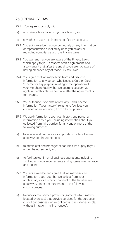# <span id="page-35-0"></span>25.0 PRIVACY LAW

- 25.1 You agree to comply with:
- (a) any privacy laws by which you are bound; and
- any other privacy requirement notified by us to you.  $(b)$
- 25.2 You acknowledge that you do not rely on any information or representation supplied by us to you as advice regarding compliance with the Privacy Laws.
- 25.3 You warrant that you are aware of the Privacy Laws which apply to you in respect of this Agreement, and also warrant that, after the enquiry, you are not aware of having breached any of those Privacy Laws.
- 25.4 You agree that we may obtain from and disclose information to any person who issues a Card or Card Scheme for any purpose relating to the operation of your Merchant Facility that we deem necessary. Our rights under this clause continue after the Agreement is terminated.
- 25.5 You authorise us to obtain from any Card Scheme information ("your history") relating to facilities you obtained or are obtaining from other suppliers.
- 25.6 We use information about your history and personal information about you, including information about you collected from third parties, for any one or more of the following purposes:
- (a) to assess and process your application for facilities we supply under the Agreement;
- (b) to administer and manage the facilities we supply to you under the Agreement; and
- (c) to facilitate our internal business operations, including fulfilling any legal requirements and systems maintenance and testing.
- 25.7 You acknowledge and agree that we may disclose information about you that we collect from your application, your history or conduct of the facilities we supply you under the Agreement, in the following circumstances:
- (a) to our external service providers (some of which may be located overseas) that provide services for the purposes only of our business, on a confidential basis (for example, without limitation, mailing houses);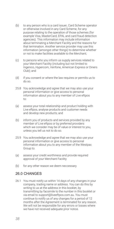- (b) to any person who is a card issuer, Card Scheme operator or otherwise involved in any Card Scheme, for any purpose relating to the operation of those schemes (for example Visa, MasterCard, EPAL and card fraud detection agencies). This information may include information about terminating a Merchant Facility and the reasons for that termination. Another service provider may use this information (amongst other things) to determine whether or not to make facilities available to the Merchant;
- (c) to persons who you inform us supply services related to your Merchant Facility (including but not limited to Ingenico, Hypercom, Verifone, American Express or Diners Club); and
- (d) if you consent or where the law requires or permits us to do so.
- 25.8 You acknowledge and agree that we may also use your personal information or give access to personal information about you to any member of Live eftpos to:
- (a) assess your total relationship and product holding with Live eftpos, analyse products and customer needs and develop new products; and
- (b) inform you of products and services provided by any member of Live eftpos or by preferred providers which we consider may be of value or interest to you, unless you tell us not to do so.
- 25.9 You acknowledge and agree that we may also use your personal information or give access to personal information about you to any member of the Westpac Group to:
- (a) assess your credit worthiness and provide required approval of your Merchant Facility
- (b) for any other reason we deem neccessary

## <span id="page-36-0"></span>26.0 CHANGES

26.1 You must notify us within 14 days of any changes in your company, trading name or address. You can do this by writing to us at the address in this booklet, by transmitting by facsimile to the number in this booklet or via email to [support@liveeftpos.com.au. Y](mailto:support@liveeftpos.com.au)ou must continue to notify us of any changes for a period of 12 months after the Agreement is terminated for any reason. We will not be responsible for any errors or losses where we have not received adequate prior notice.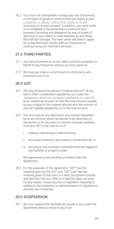26.2 You must not substantially change your line of business, or the types of goods or services that you supply to your customers or clients, without first notifying us and receiving our written consent. In addition, you must notify us immediately if the ownership or control of your business (including any delegation by way of power of attorney) or your ability to meet liabilities as and when they fall due changes. The new owner will need to apply for a new Merchant Facility with us if they wish to continue using our merchant services.

# <span id="page-37-0"></span>27.0 THIRD PARTIES

- 27.1 You will not present to us any sales vouchers accepted on behalf of any third party without our prior approval.
- 27.2 We may pay a fee or commission to a third party who introduces you to us.

# <span id="page-37-1"></span>28.0 GST

- 28.1 We may increase the amount ("original amount") of any fee or other consideration payable by you under the Agreement which has not been specified to include GST by an additional amount so that the total amount payable by you is equal to the original amount plus the amount of any GST liability payable by us on the total amount.
- 28.2 You must pay at any time and in any manner requested by us any amount which we decide to be necessary to reimburse us for any direct or indirect increase resulting from any GST in the cost to us of:
	- i. making, maintaining or administering;
	- ii. any action relating to any property connected with; or
	- iii. carrying on any business connected with the supply of any facilities or property under:

the Agreement or any facilities provided under the Agreement.

28.3 For the purposes of the Agreement, "GST" has the meaning given by the GST Law. "GST Law" has the meaning given to that term in A New Tax System (Goods and Services Tax) Act 1999, or, if that Act does not exist for any reason, means any Act or regulation imposing or relating to the imposition or administration of a goods and services tax in Australia.

# <span id="page-37-2"></span>29.0 SUSPENSION

29.1 We may suspend the facilities we supply to you under the Agreement without notice to you if we: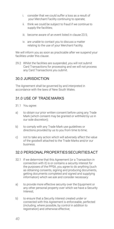- i. consider that we could suffer a loss as a result of your Merchant Facility continuing to operate;
- ii. think we could be subject to fraud if we continue to supply the facilities;
- iii. become aware of an event listed in clause 23.5;
- iv. are unable to contact you to discuss a matter relating to the use of your Merchant Facility.

We will inform you as soon as practicable after we suspend your facilities under this clause.

29.2 Whilst the facilities are suspended, you will not submit Card Transactions for processing and we will not process any Card Transactions you submit.

## <span id="page-38-0"></span>30.0 JURISDICTION

The Agreement shall be governed by and interpreted in accordance with the laws of New South Wales.

## <span id="page-38-1"></span>31.0 USE OF TRADEMARKS

- 31.1 You agree:
- a) to obtain our prior written consent before using any Trade Mark (which consent may be granted or withheld by us in our sole discretion);
- b) to comply with any Trade Mark use guidelines or directions provided by us to you from time to time;
- c) not to take any action which will adversely affect the value of the goodwill attached to the Trade Marks and/or our business.

## <span id="page-38-2"></span>32.0 PERSONALPROPERTIESSECURITIESACT

- 32.1 If we determine that this Agreement (or a Transaction in connection with it) is or contains a security interest for the purposes of the PPSA, you agree to do anything (such as obtaining consents, signing and producing documents, getting documents completed and signed and supplying information) which we ask and consider necessary:
- a) to provide more effective security over the Equipment or any other personal property over which we have a Security Interest;
- b) to ensure that a Security Interest created under or connected with this Agreement is enforceable, perfected (including, where possible, by control in addition to registration) and otherwise effective;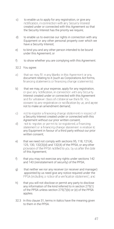- c) to enable us to apply for any registration, or give any notification, in connection with any Security Interest created under or connected with this Agreement so that the Security Interest has the priority we require;
- d) to enable us to exercise our rights in connection with any Equipment or any other personal property over which we have a Security Interest;
- e) to bind you and any other person intended to be bound under this Agreement; or
- f) to show whether you are complying with this Agreement.
- 32.2 You agree:
- that we may fill in any blanks in this Agreement or any a). document relating to it (such as Corporations Act forms, financing statements);
- b) that we may, at your expense, apply for any registration, or give any notification, in connection with any Security Interest created under or connected with this Agreement<br>and for whatever class of collateral we think fit. You consent to any registration or notification by us, and agree not to make an amendment demand;
- $\circ$ ) not to register a financing change statement in respect of a Security Interest created under or connected with this
- Agreement without our prior written consent;<br>not to register, or permit to be registered, a financing d). statement or a financing change statement in relation to any Equipment in favour of a third party without our prior written consent;
- e) that we need not comply with sections 95, 118, 121(4), 125, 130, 132(3)(d) and 132(4) of the PPSA, or any other<br>provision of the PPSA notified to you by us after the date of this Agreement;
- f) that you may not exercise any rights under sections 142 and 143 (reinstatement of security) of the PPSA;
- g) that neither we nor any receiver (or receiver and manager) appointed by us need give any notice required under the<br>PPSA (including a notice of a verification statement); and
- h) that you will not disclose or permit any party to disclose any information of the kind referred to in section 275(1) of the PPSA unless section 275(7)(b) or (e) of the PPSA applies.
- 32.3 In this clause 31, terms in italics have the meaning given to them in the PPSA.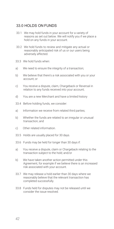# <span id="page-40-0"></span>33.0 HOLDS ON FUNDS

- 33.1 We may hold funds in your account for a variety of reasons as set out below. We will notify you if we place a hold on any funds in your account.
- 33.2 We hold funds to review and mitigate any actual or reasonably anticipated risk of us or our users being adversely affected.
- 33.3 We hold funds when:
- a) We need to ensure the integrity of a transaction;
- b) We believe that there's a risk associated with you or your account; or
- c) You receive a dispute, claim, Chargeback or Reversal in relation to any funds received into your account;
- d) You are a new Merchant and have a limited history
- 33.4 Before holding funds, we consider:
- a) Information we receive from related third parties:
- b) Whether the funds are related to an irregular or unusual transaction; and
- c) Other related information.
- 33.5 Holds are usually placed for 30 days.
- 33.6 Funds may be held for longer than 30 days if:
- a) You receive a dispute, claim or Chargeback relating to the transaction subject to the hold; and/or
- b) We have taken another action permitted under this Agreement, for example if we believe there is an increased risk associated with your account.
- 33.7 We may release a hold earlier than 30 days where we reasonably believe that the relevant transaction has completed successfully.
- 33.8 Funds held for disputes may not be released until we consider the issue resolved.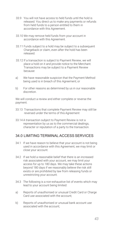- 33.9 You will not have access to held funds until the hold is released. You direct us to make any payments or refunds from held funds to a person entitled to them in accordance with this Agreement.
- 33.10 We may remove held funds from your account in accordance with this Agreement.
- 33.11 Funds subject to a hold may be subject to a subsequent Chargeback or claim, even after the hold has been released.
- 33.12 If a transaction is subject to Payment Review, we will place a hold on it and provide notice to the Merchant. Transactions may be subject to a Payment Review because:
- a) We have reasonable suspicion that the Payment Method being used is in breach of this Agreement; or
- b) For other reasons as determined by us in our reasonable discretion.

We will conduct a review and either complete or reverse the payment.

- 33.13 Transactions that complete Payment Review may still be reversed under the terms of this Agreement
- 33.14 A transaction subject to Payment Review is not a representation by us as to the commercial dealings, character or reputation of a party to the transaction.

## <span id="page-41-0"></span>34.0 LIMITING TERMINAL ACCESS SERVICES

- 34.1 If we have reason to believe that your account is not being used in accordance with this Agreement, we may limit or close your account.
- 34.2 If we hold a reasonable belief that there is an increased risk associated with your account, we may limit your access for up to 180 days. We may take these actions beyond 180 days if we reasonably believe the risk still exists or are prohibited by law from releasing funds or unrestricting your account.
- 34.3 The following is a non-exhaustive list of events which may lead to your account being limited:
- a) Reports of unauthorised or unusual Credit Card or Charge Card use associated with the account;
- b) Reports of unauthorised or unusual bank account use associated with the account;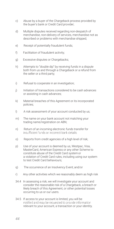- c) Abuse by a buyer of the Chargeback process provided by the buyer's bank or Credit Card provider;
- d) Multiple disputes received regarding non-despatch of merchandise, non-delivery of services, merchandise not as described or problems with merchandise shipped;
- e) Receipt of potentially fraudulent funds;
- f) Facilitation of fraudulent activity;
- g) Excessive disputes or Chargebacks;
- h) Attempts to "double dip" by receiving funds in a dispute both from us and through a Chargeback or a refund from the seller or a third party;
- i) Refusal to cooperate in an investigation;
- j) Initiation of transactions considered to be cash advances or assisting in cash advances;
- k) Material breaches of this Agreement or its incorporated policies;
- l) A risk assessment of your account conducted by us;
- m) The name on your bank account not matching your trading name/registration on ABN;
- n) Return of an incoming electronic funds transfer for<br>insufficient funds or incorrect bank details;
- o) Reports from credit agencies of a high level of risk;
- p) Use of your account is deemed by us, Westpac, Visa, MasterCard, American Express or any other Scheme to constitute abuse of the Credit Card systemor a violation of Credit Card rules, including using our system to test Credit Card behaviours;
- q) The occurrence of an Insolvency Event; and/or
- r) Any other activities which we reasonably deem as high risk
- 34.4 In assessing a risk, we will investigate your account and consider the reasonable risk of a Chargeback, a breach or likely breach of this Agreement, or other potential losses occurring to us or our users.
- 34.5 If access to your account is limited, you will be<br>notified and may be requested to provide information relevant to your account, a transaction or your identity.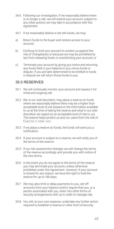- 34.6 Following our investigation, if we reasonably believe there is no longer a risk, we will restore your account, subject to any other actions we may take in accordance with this Agreement.
- 34.7 If we reasonably believe a risk still exists, we may:
- a) Return funds to the buyer and restore access to your account;
- b) Continue to limit your account to protect us against the risk of Chargebacks or because we may be prohibited by law from releasing funds or unrestricting your account; or
- c) Terminate your account by giving you notice and returning any funds held in your balance to you minus funds in dispute. If you are later determined to be entitled to funds in dispute we will return those funds to you.

### <span id="page-43-0"></span>35.0 RESERVES

- 35.1 We will continually monitor your account and assess it for initial and ongoing risk.
- 35.2 We, in our sole discretion, may place a reserve on funds where we reasonably believe there may be a higher than acceptable level of risk (based on the information available to us at the time of taking the reserve and what in our sole discretion we regard as an acceptable level of risk to us). The reserve helps protect us and our users from the risk of financial or other loss
- 35.3 If we place a reserve on funds, the funds will send you a notification.
- 35.4 If your account is subject to a reserve, we will notify you of the terms of the reserve.
- 35.5 If our risk assessment changes we will change the terms of the reserve accordingly and provide you with notice of the new terms.
- 35.6 In the event you do not agree to the terms of the reserve you may terminate your account, unless otherwise prohibited under this Agreement. However, if your account is closed for any reason, we have the right to hold the reserve for up to 180 days.
- 35.7 We may also limit or delay payments to you, set-off amounts from your balance and/or require that you, or a person associated with you, enter into other forms of security arrangements with us in order to manage risk.
- 35.8 You will, at your own expense, undertake any further action required to establish a reserve or other form of security.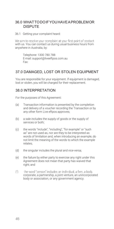### <span id="page-44-0"></span>36.0 WHATTODOIFYOUHAVEAPROBLEMOR DISPUTE

36.1 Getting your complaint heard:

We aim to resolve your complaint at your first point of contact with us. You can contact us during usual business hours from anywhere in Australia, by:

Telephone: 1300 780 788 E-mail[: support@liveeftpos.com.au](mailto:support@liveeftpos.com.au) Fax:

# <span id="page-44-1"></span>37.0 DAMAGED, LOST OR STOLEN EQUIPMENT

You are responsible for your equipment. If equipment is damaged, lost or stolen, you will be charged for their replacement.

## <span id="page-44-2"></span>38.0 INTERPRETATION

For the purposes of this Agreement:

- (a) Transaction information is presented by the completion and delivery of a voucher recording the Transaction or by any other form Live eftpos approves;
- (b) a sale includes the supply of goods or the supply of services or both;
- (c) the words "include", "including", "for example" or "such as" are not used as, nor are they to be interpreted as words of limitation and, when introducing an example, do not limit the meaning of the words to which the example relates;
- (d) the singular includes the plural and vice-versa;
- (e) the failure by either party to exercise any right under this Agreement does not mean that party has waived that right; and
- $(f)$ the word "person" includes an individual, a firm, a body corporate, a partnership, a joint venture, an unincorporated body or association, or any government agency.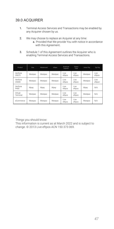# <span id="page-45-0"></span>39.0 ACQUIRER

- 1. Terminal Access Services and Transactions may be enabled by any Acquirer chosen by us.
- 2. We may choose to replace an Acquirer at any time:
	- a. Provided that We provide You with notice in accordance with this Agreement.
- 3. Schedule 1 of this Agreement outlines the Acquirer who is enabling Terminal Access Services and Transactions.

| Product             | Visa    | Mastercard | eftpos  | American<br>Express | Diners<br>Club  | Union Pay | Zip Pay          |
|---------------------|---------|------------|---------|---------------------|-----------------|-----------|------------------|
| Verifone<br>VX675   | Westpac | Westpac    | Westpac | I ive<br>eftpos     | I ive<br>eftpos | Westpac   | I ive<br>eftpos  |
| Verifone<br>VX690   | Westpac | Westpac    | Westpac | I ive<br>eftpos     | I ive<br>eftpos | Westpac   | I ive<br>eftpos' |
| Verifone<br>P400    | Wpay    | Wpay       | Wpay    | I ive<br>eftpos     | I ive<br>eftpos | Wpay      | N/A              |
| Virtual<br>Terminal | Westpac | Westpac    | Westpac | I ive<br>eftpos     | I ive<br>eftpos | Westpac   | N/A              |
| eCommerce           | Westpac | Westpac    | Westpac | I ive<br>eftpos     | Live<br>eftpos  | Westpac   | N/A              |

Things you should know:

This information is current as at March 2022 and is subject to change. © 2013 Live eftpos ACN 150 373 069.